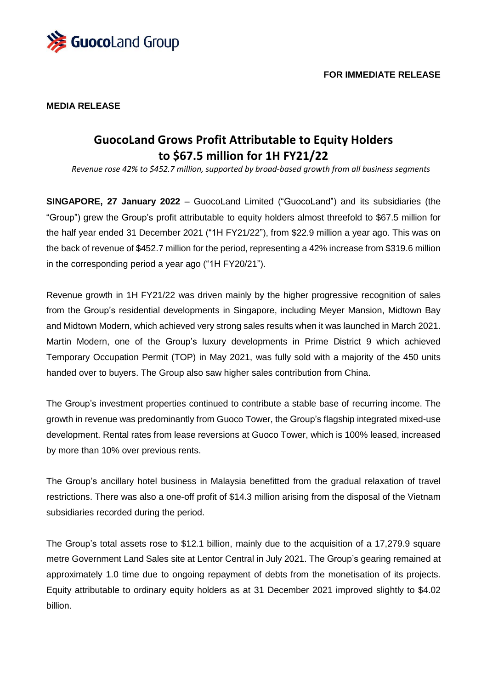

#### **MEDIA RELEASE**

# **GuocoLand Grows Profit Attributable to Equity Holders to \$67.5 million for 1H FY21/22**

*Revenue rose 42% to \$452.7 million, supported by broad-based growth from all business segments*

**SINGAPORE, 27 January 2022** – GuocoLand Limited ("GuocoLand") and its subsidiaries (the "Group") grew the Group's profit attributable to equity holders almost threefold to \$67.5 million for the half year ended 31 December 2021 ("1H FY21/22"), from \$22.9 million a year ago. This was on the back of revenue of \$452.7 million for the period, representing a 42% increase from \$319.6 million in the corresponding period a year ago ("1H FY20/21").

Revenue growth in 1H FY21/22 was driven mainly by the higher progressive recognition of sales from the Group's residential developments in Singapore, including Meyer Mansion, Midtown Bay and Midtown Modern, which achieved very strong sales results when it was launched in March 2021. Martin Modern, one of the Group's luxury developments in Prime District 9 which achieved Temporary Occupation Permit (TOP) in May 2021, was fully sold with a majority of the 450 units handed over to buyers. The Group also saw higher sales contribution from China.

The Group's investment properties continued to contribute a stable base of recurring income. The growth in revenue was predominantly from Guoco Tower, the Group's flagship integrated mixed-use development. Rental rates from lease reversions at Guoco Tower, which is 100% leased, increased by more than 10% over previous rents.

The Group's ancillary hotel business in Malaysia benefitted from the gradual relaxation of travel restrictions. There was also a one-off profit of \$14.3 million arising from the disposal of the Vietnam subsidiaries recorded during the period.

The Group's total assets rose to \$12.1 billion, mainly due to the acquisition of a 17,279.9 square metre Government Land Sales site at Lentor Central in July 2021. The Group's gearing remained at approximately 1.0 time due to ongoing repayment of debts from the monetisation of its projects. Equity attributable to ordinary equity holders as at 31 December 2021 improved slightly to \$4.02 billion.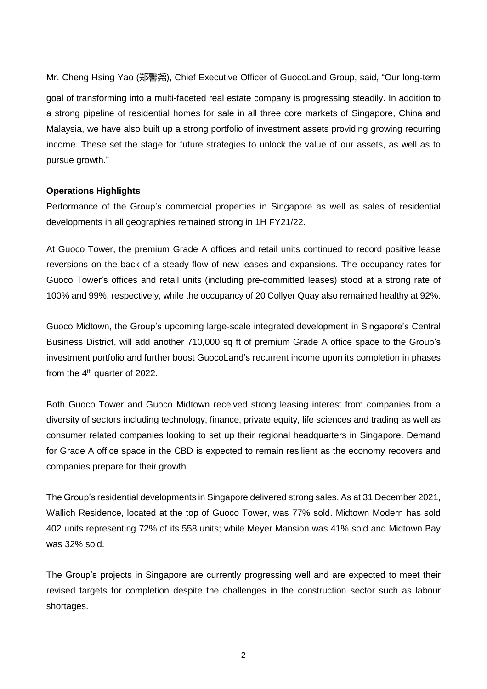Mr. Cheng Hsing Yao (郑馨尧), Chief Executive Officer of GuocoLand Group, said, "Our long-term goal of transforming into a multi-faceted real estate company is progressing steadily. In addition to a strong pipeline of residential homes for sale in all three core markets of Singapore, China and Malaysia, we have also built up a strong portfolio of investment assets providing growing recurring income. These set the stage for future strategies to unlock the value of our assets, as well as to pursue growth."

#### **Operations Highlights**

Performance of the Group's commercial properties in Singapore as well as sales of residential developments in all geographies remained strong in 1H FY21/22.

At Guoco Tower, the premium Grade A offices and retail units continued to record positive lease reversions on the back of a steady flow of new leases and expansions. The occupancy rates for Guoco Tower's offices and retail units (including pre-committed leases) stood at a strong rate of 100% and 99%, respectively, while the occupancy of 20 Collyer Quay also remained healthy at 92%.

Guoco Midtown, the Group's upcoming large-scale integrated development in Singapore's Central Business District, will add another 710,000 sq ft of premium Grade A office space to the Group's investment portfolio and further boost GuocoLand's recurrent income upon its completion in phases from the  $4<sup>th</sup>$  quarter of 2022.

Both Guoco Tower and Guoco Midtown received strong leasing interest from companies from a diversity of sectors including technology, finance, private equity, life sciences and trading as well as consumer related companies looking to set up their regional headquarters in Singapore. Demand for Grade A office space in the CBD is expected to remain resilient as the economy recovers and companies prepare for their growth.

The Group's residential developments in Singapore delivered strong sales. As at 31 December 2021, Wallich Residence, located at the top of Guoco Tower, was 77% sold. Midtown Modern has sold 402 units representing 72% of its 558 units; while Meyer Mansion was 41% sold and Midtown Bay was 32% sold.

The Group's projects in Singapore are currently progressing well and are expected to meet their revised targets for completion despite the challenges in the construction sector such as labour shortages.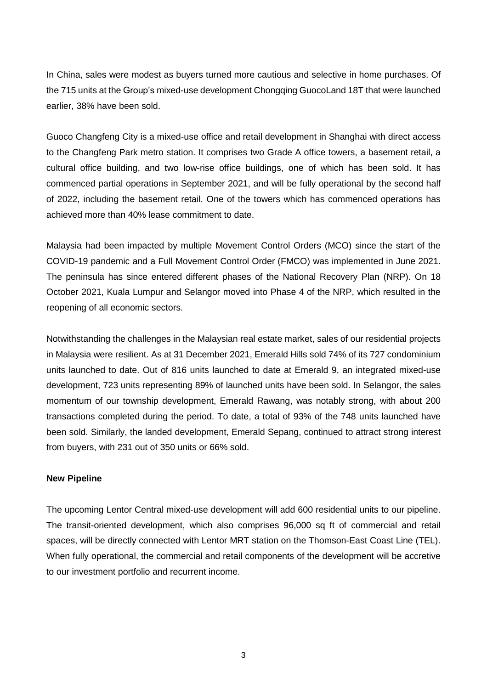In China, sales were modest as buyers turned more cautious and selective in home purchases. Of the 715 units at the Group's mixed-use development Chongqing GuocoLand 18T that were launched earlier, 38% have been sold.

Guoco Changfeng City is a mixed-use office and retail development in Shanghai with direct access to the Changfeng Park metro station. It comprises two Grade A office towers, a basement retail, a cultural office building, and two low-rise office buildings, one of which has been sold. It has commenced partial operations in September 2021, and will be fully operational by the second half of 2022, including the basement retail. One of the towers which has commenced operations has achieved more than 40% lease commitment to date.

Malaysia had been impacted by multiple Movement Control Orders (MCO) since the start of the COVID-19 pandemic and a Full Movement Control Order (FMCO) was implemented in June 2021. The peninsula has since entered different phases of the National Recovery Plan (NRP). On 18 October 2021, Kuala Lumpur and Selangor moved into Phase 4 of the NRP, which resulted in the reopening of all economic sectors.

Notwithstanding the challenges in the Malaysian real estate market, sales of our residential projects in Malaysia were resilient. As at 31 December 2021, Emerald Hills sold 74% of its 727 condominium units launched to date. Out of 816 units launched to date at Emerald 9, an integrated mixed-use development, 723 units representing 89% of launched units have been sold. In Selangor, the sales momentum of our township development, Emerald Rawang, was notably strong, with about 200 transactions completed during the period. To date, a total of 93% of the 748 units launched have been sold. Similarly, the landed development, Emerald Sepang, continued to attract strong interest from buyers, with 231 out of 350 units or 66% sold.

#### **New Pipeline**

The upcoming Lentor Central mixed-use development will add 600 residential units to our pipeline. The transit-oriented development, which also comprises 96,000 sq ft of commercial and retail spaces, will be directly connected with Lentor MRT station on the Thomson-East Coast Line (TEL). When fully operational, the commercial and retail components of the development will be accretive to our investment portfolio and recurrent income.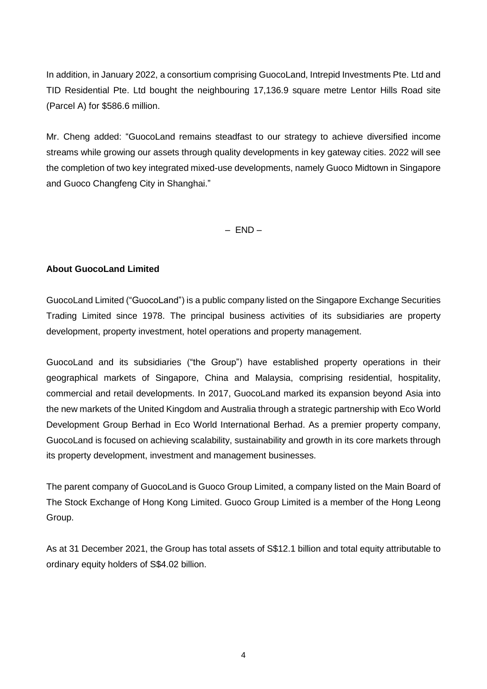In addition, in January 2022, a consortium comprising GuocoLand, Intrepid Investments Pte. Ltd and TID Residential Pte. Ltd bought the neighbouring 17,136.9 square metre Lentor Hills Road site (Parcel A) for \$586.6 million.

Mr. Cheng added: "GuocoLand remains steadfast to our strategy to achieve diversified income streams while growing our assets through quality developments in key gateway cities. 2022 will see the completion of two key integrated mixed-use developments, namely Guoco Midtown in Singapore and Guoco Changfeng City in Shanghai."

 $-$  END $-$ 

### **About GuocoLand Limited**

GuocoLand Limited ("GuocoLand") is a public company listed on the Singapore Exchange Securities Trading Limited since 1978. The principal business activities of its subsidiaries are property development, property investment, hotel operations and property management.

GuocoLand and its subsidiaries ("the Group") have established property operations in their geographical markets of Singapore, China and Malaysia, comprising residential, hospitality, commercial and retail developments. In 2017, GuocoLand marked its expansion beyond Asia into the new markets of the United Kingdom and Australia through a strategic partnership with Eco World Development Group Berhad in Eco World International Berhad. As a premier property company, GuocoLand is focused on achieving scalability, sustainability and growth in its core markets through its property development, investment and management businesses.

The parent company of GuocoLand is Guoco Group Limited, a company listed on the Main Board of The Stock Exchange of Hong Kong Limited. Guoco Group Limited is a member of the Hong Leong Group.

As at 31 December 2021, the Group has total assets of S\$12.1 billion and total equity attributable to ordinary equity holders of S\$4.02 billion.